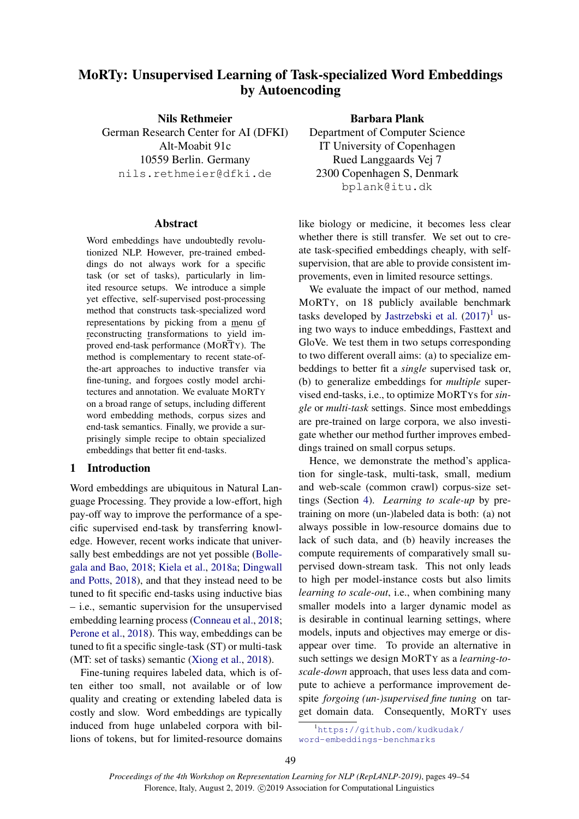# <span id="page-0-0"></span>MoRTy: Unsupervised Learning of Task-specialized Word Embeddings by Autoencoding

Nils Rethmeier German Research Center for AI (DFKI) Alt-Moabit 91c 10559 Berlin. Germany nils.rethmeier@dfki.de

#### Abstract

Word embeddings have undoubtedly revolutionized NLP. However, pre-trained embeddings do not always work for a specific task (or set of tasks), particularly in limited resource setups. We introduce a simple yet effective, self-supervised post-processing method that constructs task-specialized word representations by picking from a menu of reconstructing transformations to yield improved end-task performance (MORTY). The method is complementary to recent state-ofthe-art approaches to inductive transfer via fine-tuning, and forgoes costly model architectures and annotation. We evaluate MORTY on a broad range of setups, including different word embedding methods, corpus sizes and end-task semantics. Finally, we provide a surprisingly simple recipe to obtain specialized embeddings that better fit end-tasks.

## 1 Introduction

Word embeddings are ubiquitous in Natural Language Processing. They provide a low-effort, high pay-off way to improve the performance of a specific supervised end-task by transferring knowledge. However, recent works indicate that universally best embeddings are not yet possible [\(Bolle](#page-4-0)[gala and Bao,](#page-4-0) [2018;](#page-4-0) [Kiela et al.,](#page-4-1) [2018a;](#page-4-1) [Dingwall](#page-4-2) [and Potts,](#page-4-2) [2018\)](#page-4-2), and that they instead need to be tuned to fit specific end-tasks using inductive bias – i.e., semantic supervision for the unsupervised embedding learning process [\(Conneau et al.,](#page-4-3) [2018;](#page-4-3) [Perone et al.,](#page-5-0) [2018\)](#page-5-0). This way, embeddings can be tuned to fit a specific single-task (ST) or multi-task (MT: set of tasks) semantic [\(Xiong et al.,](#page-5-1) [2018\)](#page-5-1).

Fine-tuning requires labeled data, which is often either too small, not available or of low quality and creating or extending labeled data is costly and slow. Word embeddings are typically induced from huge unlabeled corpora with billions of tokens, but for limited-resource domains

Barbara Plank Department of Computer Science IT University of Copenhagen Rued Langgaards Vej 7 2300 Copenhagen S, Denmark

bplank@itu.dk

like biology or medicine, it becomes less clear whether there is still transfer. We set out to create task-specified embeddings cheaply, with selfsupervision, that are able to provide consistent improvements, even in limited resource settings.

We evaluate the impact of our method, named MORTY, on 18 publicly available benchmark tasks developed by [Jastrzebski et al.](#page-4-4)  $(2017)^1$  $(2017)^1$  using two ways to induce embeddings, Fasttext and GloVe. We test them in two setups corresponding to two different overall aims: (a) to specialize embeddings to better fit a *single* supervised task or, (b) to generalize embeddings for *multiple* supervised end-tasks, i.e., to optimize MORTYs for *single* or *multi-task* settings. Since most embeddings are pre-trained on large corpora, we also investigate whether our method further improves embeddings trained on small corpus setups.

Hence, we demonstrate the method's application for single-task, multi-task, small, medium and web-scale (common crawl) corpus-size settings (Section [4\)](#page-2-0). *Learning to scale-up* by pretraining on more (un-)labeled data is both: (a) not always possible in low-resource domains due to lack of such data, and (b) heavily increases the compute requirements of comparatively small supervised down-stream task. This not only leads to high per model-instance costs but also limits *learning to scale-out*, i.e., when combining many smaller models into a larger dynamic model as is desirable in continual learning settings, where models, inputs and objectives may emerge or disappear over time. To provide an alternative in such settings we design MORTY as a *learning-toscale-down* approach, that uses less data and compute to achieve a performance improvement despite *forgoing (un-)supervised fine tuning* on target domain data. Consequently, MORTY uses

<sup>1</sup>[https://github.com/kudkudak/](https://github.com/kudkudak/word-embeddings-benchmarks) [word-embeddings-benchmarks](https://github.com/kudkudak/word-embeddings-benchmarks)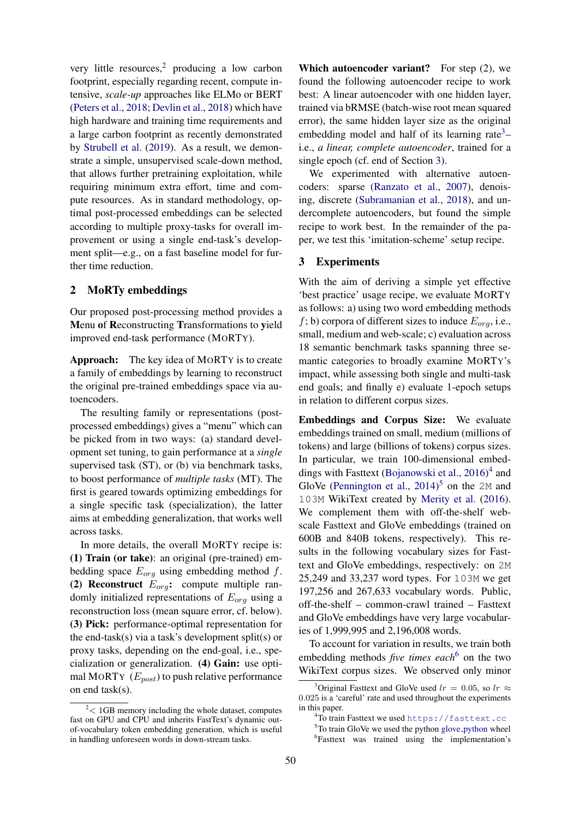very little resources, $\frac{2}{3}$  $\frac{2}{3}$  $\frac{2}{3}$  producing a low carbon footprint, especially regarding recent, compute intensive, *scale-up* approaches like ELMo or BERT [\(Peters et al.,](#page-5-2) [2018;](#page-5-2) [Devlin et al.,](#page-4-5) [2018\)](#page-4-5) which have high hardware and training time requirements and a large carbon footprint as recently demonstrated by [Strubell et al.](#page-5-3) [\(2019\)](#page-5-3). As a result, we demonstrate a simple, unsupervised scale-down method, that allows further pretraining exploitation, while requiring minimum extra effort, time and compute resources. As in standard methodology, optimal post-processed embeddings can be selected according to multiple proxy-tasks for overall improvement or using a single end-task's development split—e.g., on a fast baseline model for further time reduction.

## 2 MoRTy embeddings

Our proposed post-processing method provides a Menu of Reconstructing Transformations to yield improved end-task performance (MORTY).

Approach: The key idea of MORTY is to create a family of embeddings by learning to reconstruct the original pre-trained embeddings space via autoencoders.

The resulting family or representations (postprocessed embeddings) gives a "menu" which can be picked from in two ways: (a) standard development set tuning, to gain performance at a *single* supervised task (ST), or (b) via benchmark tasks, to boost performance of *multiple tasks* (MT). The first is geared towards optimizing embeddings for a single specific task (specialization), the latter aims at embedding generalization, that works well across tasks.

In more details, the overall MORTY recipe is: (1) Train (or take): an original (pre-trained) embedding space  $E_{org}$  using embedding method f. (2) Reconstruct  $E_{org}$ : compute multiple randomly initialized representations of  $E_{ora}$  using a reconstruction loss (mean square error, cf. below). (3) Pick: performance-optimal representation for the end-task(s) via a task's development split(s) or proxy tasks, depending on the end-goal, i.e., specialization or generalization. (4) Gain: use optimal MORTY  $(E_{post})$  to push relative performance on end task(s).

Which autoencoder variant? For step (2), we found the following autoencoder recipe to work best: A linear autoencoder with one hidden layer, trained via bRMSE (batch-wise root mean squared error), the same hidden layer size as the original embedding model and half of its learning rate<sup>[3](#page-0-0)</sup>i.e., *a linear, complete autoencoder*, trained for a single epoch (cf. end of Section [3\)](#page-2-1).

We experimented with alternative autoencoders: sparse [\(Ranzato et al.,](#page-5-4) [2007\)](#page-5-4), denoising, discrete [\(Subramanian et al.,](#page-5-5) [2018\)](#page-5-5), and undercomplete autoencoders, but found the simple recipe to work best. In the remainder of the paper, we test this 'imitation-scheme' setup recipe.

## 3 Experiments

With the aim of deriving a simple yet effective 'best practice' usage recipe, we evaluate MORTY as follows: a) using two word embedding methods  $f$ ; b) corpora of different sizes to induce  $E_{ora}$ , i.e., small, medium and web-scale; c) evaluation across 18 semantic benchmark tasks spanning three semantic categories to broadly examine MORTY's impact, while assessing both single and multi-task end goals; and finally e) evaluate 1-epoch setups in relation to different corpus sizes.

Embeddings and Corpus Size: We evaluate embeddings trained on small, medium (millions of tokens) and large (billions of tokens) corpus sizes. In particular, we train 100-dimensional embeddings with Fasttext [\(Bojanowski et al.,](#page-4-6) [2016\)](#page-4-6) [4](#page-0-0) and GloVe [\(Pennington et al.,](#page-5-6)  $2014$ )<sup>[5](#page-0-0)</sup> on the 2M and 103M WikiText created by [Merity et al.](#page-5-7) [\(2016\)](#page-5-7). We complement them with off-the-shelf webscale Fasttext and GloVe embeddings (trained on 600B and 840B tokens, respectively). This results in the following vocabulary sizes for Fasttext and GloVe embeddings, respectively: on 2M 25,249 and 33,237 word types. For 103M we get 197,256 and 267,633 vocabulary words. Public, off-the-shelf – common-crawl trained – Fasttext and GloVe embeddings have very large vocabularies of 1,999,995 and 2,196,008 words.

To account for variation in results, we train both embedding methods *five times each*<sup>[6](#page-0-0)</sup> on the two WikiText corpus sizes. We observed only minor

 $2 < 1$ GB memory including the whole dataset, computes fast on GPU and CPU and inherits FastText's dynamic outof-vocabulary token embedding generation, which is useful in handling unforeseen words in down-stream tasks.

<sup>&</sup>lt;sup>3</sup>Original Fasttext and GloVe used  $lr = 0.05$ , so  $lr \approx$ 0.025 is a 'careful' rate and used throughout the experiments in this paper.

<sup>4</sup>To train Fasttext we used <https://fasttext.cc>

<sup>&</sup>lt;sup>5</sup>To train GloVe we used the [python](https://github.com/maciejkula/glove-python) glove<sub>-</sub>python wheel 6 Fasttext was trained using the implementation's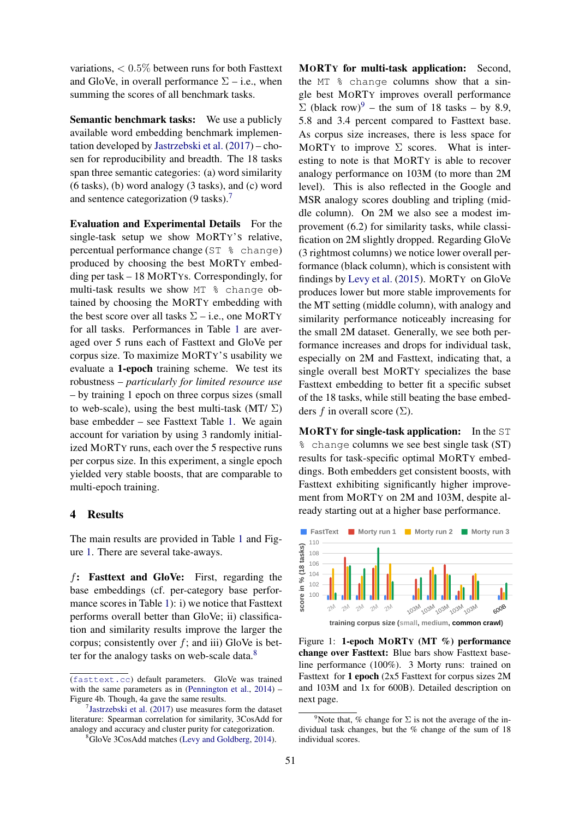variations, < 0.5% between runs for both Fasttext and GloVe, in overall performance  $\Sigma$  – i.e., when summing the scores of all benchmark tasks.

Semantic benchmark tasks: We use a publicly available word embedding benchmark implementation developed by [Jastrzebski et al.](#page-4-4) [\(2017\)](#page-4-4) – chosen for reproducibility and breadth. The 18 tasks span three semantic categories: (a) word similarity (6 tasks), (b) word analogy (3 tasks), and (c) word and sentence categorization  $(9 \text{ tasks})$ .<sup>[7](#page-0-0)</sup>

<span id="page-2-1"></span>Evaluation and Experimental Details For the single-task setup we show MORTY'S relative, percentual performance change (ST % change) produced by choosing the best MORTY embedding per task – 18 MORTYs. Correspondingly, for multi-task results we show MT % change obtained by choosing the MORTY embedding with the best score over all tasks  $\Sigma$  – i.e., one MORTY for all tasks. Performances in Table [1](#page-3-0) are averaged over 5 runs each of Fasttext and GloVe per corpus size. To maximize MORTY'S usability we evaluate a 1-epoch training scheme. We test its robustness – *particularly for limited resource use* – by training 1 epoch on three corpus sizes (small to web-scale), using the best multi-task (MT/ $\Sigma$ ) base embedder – see Fasttext Table [1.](#page-3-0) We again account for variation by using 3 randomly initialized MORTY runs, each over the 5 respective runs per corpus size. In this experiment, a single epoch yielded very stable boosts, that are comparable to multi-epoch training.

### <span id="page-2-0"></span>4 Results

The main results are provided in Table [1](#page-3-0) and Figure [1.](#page-2-2) There are several take-aways.

f: Fasttext and GloVe: First, regarding the base embeddings (cf. per-category base performance scores in Table [1\)](#page-3-0): i) we notice that Fasttext performs overall better than GloVe; ii) classification and similarity results improve the larger the corpus; consistently over  $f$ ; and iii) GloVe is bet-ter for the analogy tasks on web-scale data.<sup>[8](#page-0-0)</sup>

MORTY for multi-task application: Second, the MT  $\textdegree$  change columns show that a single best MORTY improves overall performance  $\Sigma$  (black row)<sup>[9](#page-0-0)</sup> – the sum of 18 tasks – by 8.9, 5.8 and 3.4 percent compared to Fasttext base. As corpus size increases, there is less space for MORTY to improve  $\Sigma$  scores. What is interesting to note is that MORTY is able to recover analogy performance on 103M (to more than 2M level). This is also reflected in the Google and MSR analogy scores doubling and tripling (middle column). On 2M we also see a modest improvement (6.2) for similarity tasks, while classification on 2M slightly dropped. Regarding GloVe (3 rightmost columns) we notice lower overall performance (black column), which is consistent with findings by [Levy et al.](#page-5-9) [\(2015\)](#page-5-9). MORTY on GloVe produces lower but more stable improvements for the MT setting (middle column), with analogy and similarity performance noticeably increasing for the small 2M dataset. Generally, we see both performance increases and drops for individual task, especially on 2M and Fasttext, indicating that, a single overall best MORTY specializes the base Fasttext embedding to better fit a specific subset of the 18 tasks, while still beating the base embedders f in overall score  $(\Sigma)$ .

MORTY for single-task application: In the ST % change columns we see best single task (ST) results for task-specific optimal MORTY embeddings. Both embedders get consistent boosts, with Fasttext exhibiting significantly higher improvement from MORTY on 2M and 103M, despite already starting out at a higher base performance.

<span id="page-2-2"></span>

Figure 1: 1-epoch MORTY (MT %) performance change over Fasttext: Blue bars show Fasttext baseline performance (100%). 3 Morty runs: trained on Fasttext for 1 epoch (2x5 Fasttext for corpus sizes 2M and 103M and 1x for 600B). Detailed description on next page.

<sup>(</sup><fasttext.cc>) default parameters. GloVe was trained with the same parameters as in [\(Pennington et al.,](#page-5-6) [2014\)](#page-5-6) – Figure 4b. Though, 4a gave the same results.

 $7$ [Jastrzebski et al.](#page-4-4) [\(2017\)](#page-4-4) use measures form the dataset literature: Spearman correlation for similarity, 3CosAdd for analogy and accuracy and cluster purity for categorization.

<sup>8</sup>GloVe 3CosAdd matches [\(Levy and Goldberg,](#page-5-8) [2014\)](#page-5-8).

<sup>&</sup>lt;sup>9</sup>Note that, % change for  $\Sigma$  is not the average of the individual task changes, but the % change of the sum of 18 individual scores.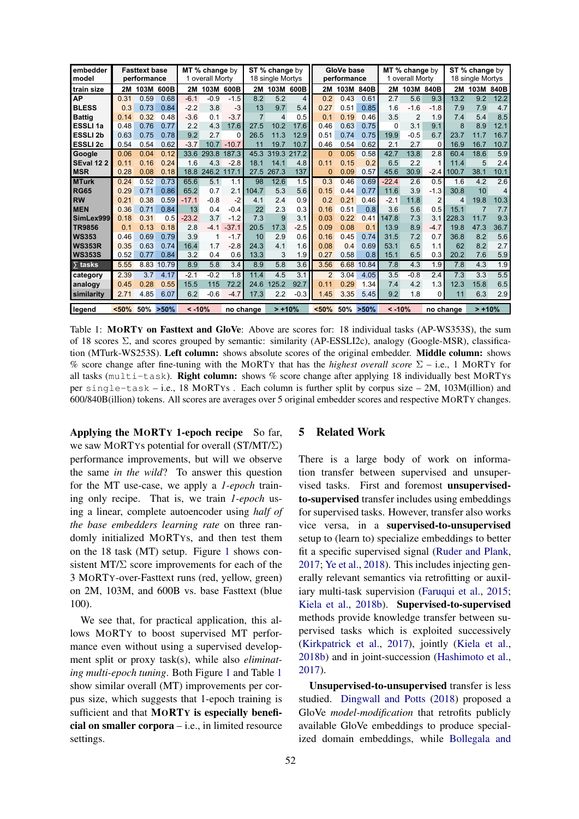<span id="page-3-0"></span>

| embedder<br>model |                     | <b>Fasttext base</b><br>performance |          | MT % change by<br>1 overall Morty |           |         | ST % change by<br>18 single Mortys |                |        | GloVe base<br>performance |      |          | MT % change by<br>1 overall Mortv |        |           | ST % change by<br>18 single Mortys |                |                |
|-------------------|---------------------|-------------------------------------|----------|-----------------------------------|-----------|---------|------------------------------------|----------------|--------|---------------------------|------|----------|-----------------------------------|--------|-----------|------------------------------------|----------------|----------------|
| train size        | 2M                  | 103M                                | 600B     | 2M                                | 103M 600B |         | 2M                                 | 103M           | 600B   | <b>2M</b>                 | 103M | 840B     | 2M                                | 103M   | 840B      | 2M                                 | 103M           | 840B           |
| <b>AP</b>         | 0.31                | 0.59                                | 0.68     | $-6.1$                            | $-0.9$    | $-1.5$  | 8.2                                | 5.2            | 4      | 0.2                       | 0.43 | 0.61     | 2.7                               | 5.6    | 9.3       | 13.2                               | 9.2            | 12.2           |
| <b>BLESS</b>      | 0.3                 | 0.73                                | 0.84     | $-2.2$                            | 3.8       | $-3$    | 13                                 | 9.7            | 5.4    | 0.27                      | 0.51 | 0.85     | 1.6                               | $-1.6$ | $-1.8$    | 7.9                                | 7.9            | 4.7            |
| <b>Battig</b>     | 0.14                | 0.32                                | 0.48     | $-3.6$                            | 0.1       | $-3.7$  | $\overline{7}$                     | $\overline{4}$ | 0.5    | 0.1                       | 0.19 | 0.46     | 3.5                               | 2      | 1.9       | 7.4                                | 5.4            | 8.5            |
| <b>ESSLI1a</b>    | 0.48                | 0.76                                | 0.77     | 2.2                               | 4.3       | 17.6    | 27.5                               | 10.2           | 17.6   | 0.46                      | 0.63 | 0.75     | 0                                 | 3.1    | 9.1       | 8                                  | 8.9            | 12.1           |
| <b>ESSLI 2b</b>   | 0.63                | 0.75                                | 0.78     | 9.2                               | 2.7       | O       | 26.5                               | 11.3           | 12.9   | 0.51                      | 0.74 | 0.75     | 19.9                              | $-0.5$ | 6.7       | 23.7                               | 11.7           | 16.7           |
| <b>ESSLI2c</b>    | 0.54                | 0.54                                | 0.62     | $-3.7$                            | 10.7      | $-10.7$ | 11                                 | 19.7           | 10.7   | 0.46                      | 0.54 | 0.62     | 2.1                               | 2.7    | 0         | 16.9                               | 16.7           | 10.7           |
| Google            | 0.06                | 0.04                                | 0.12     | 33.6                              | 293.8     | 187.3   | 45.3                               | 319.3          | 217.2  | 0                         | 0.05 | 0.58     | 42.7                              | 13.8   | 2.8       | 60.4                               | 18.6           | 5.9            |
| <b>SEval 122</b>  | 0.11                | 0.16                                | 0.24     | 1.6                               | 4.3       | $-2.8$  | 18.1                               | 14.1           | 4.8    | 0.11                      | 0.15 | 0.2      | 6.5                               | 2.2    |           | 11.4                               | 5              | 2.4            |
| <b>MSR</b>        | 0.28                | 0.08                                | 0.18     | 18.8                              | 246.2     | 117.1   | 27.5                               | 267.3          | 137    | $\Omega$                  | 0.09 | 0.57     | 45.6                              | 30.9   | $-2.4$    | 100.7                              | 38.1           | 10.1           |
| <b>MTurk</b>      | 0.24                | 0.52                                | 0.73     | 65.6                              | 5.1       | 1.1     | 98                                 | 12.6           | 1.5    | 0.3                       | 0.46 | 0.69     | $-22.4$                           | 2.6    | 0.5       | 1.6                                | 4.2            | 2.6            |
| <b>RG65</b>       | 0.29                | 0.71                                | 0.86     | 65.2                              | 0.7       | 2.1     | 104.7                              | 5.3            | 5.6    | 0.15                      | 0.44 | 0.77     | 11.6                              | 3.9    | $-1.3$    | 30.8                               | 10             | $\overline{4}$ |
| <b>RW</b>         | 0.21                | 0.38                                | 0.59     | $-17.1$                           | $-0.8$    | $-2$    | 4.1                                | 2.4            | 0.9    | 0.2                       | 0.21 | 0.46     | $-2.1$                            | 11.8   | 2         | $\overline{4}$                     | 19.8           | 10.3           |
| <b>MEN</b>        | 0.36                | 0.71                                | 0.84     | 13                                | 0.4       | $-0.4$  | 22                                 | 2.3            | 0.3    | 0.16                      | 0.51 | 0.8      | 3.6                               | 5.6    | 0.5       | 15.1                               | $\overline{7}$ | 7.7            |
| SimLex999         | 0.18                | 0.31                                | 0.5      | $-23.2$                           | 3.7       | $-1.2$  | 7.3                                | 9              | 3.1    | 0.03                      | 0.22 | 0.41     | 147.8                             | 7.3    | 3.1       | 228.3                              | 11.7           | 9.3            |
| <b>TR9856</b>     | 0.1                 | 0.13                                | 0.18     | 2.8                               | $-4.1$    | $-37.1$ | 20.5                               | 17.3           | $-2.5$ | 0.09                      | 0.08 | 0.1      | 13.9                              | 8.9    | $-4.7$    | 19.8                               | 47.3           | 36.7           |
| <b>WS353</b>      | 0.46                | 0.69                                | 0.79     | 3.9                               |           | $-1.7$  | 10                                 | 2.9            | 0.6    | 0.16                      | 0.45 | 0.74     | 31.5                              | 7.2    | 0.7       | 36.8                               | 8.2            | 5.6            |
| <b>WS353R</b>     | 0.35                | 0.63                                | 0.74     | 16.4                              | 1.7       | $-2.8$  | 24.3                               | 4.1            | 1.6    | 0.08                      | 0.4  | 0.69     | 53.1                              | 6.5    | 1.1       | 62                                 | 8.2            | 2.7            |
| <b>WS353S</b>     | 0.52                | 0.77                                | 0.84     | 3.2                               | 0.4       | 0.6     | 13.3                               | 3              | 1.9    | 0.27                      | 0.58 | 0.8      | 15.1                              | 6.5    | 0.3       | 20.2                               | 7.6            | 5.9            |
| $\sum$ tasks      | 5.55                | 8.83                                | 10.79    | 8.9                               | 5.8       | 3.4     | 8.9                                | 5.8            | 3.6    | 3.56                      | 6.68 | 10.84    | 7.8                               | 4.3    | 1.9       | 7.8                                | 4.3            | 1.9            |
| category          | 2.39                | 3.7                                 | 4.17     | $-2.1$                            | $-0.2$    | 1.8     | 11.4                               | 4.5            | 3.1    | 2                         | 3.04 | 4.05     | 3.5                               | $-0.8$ | 2.4       | 7.3                                | 3.3            | 5.5            |
| analogy           | 0.45                | 0.28                                | 0.55     | 15.5                              | 115       | 72.2    | 24.6                               | 125.2          | 92.7   | 0.11                      | 0.29 | 1.34     | 7.4                               | 4.2    | 1.3       | 12.3                               | 15.8           | 6.5            |
| similarity        | 2.71                | 4.85                                | 6.07     | 6.2                               | $-0.6$    | $-4.7$  | 17.3                               | 2.2            | $-0.3$ | 1.45                      | 3.35 | 5.45     | 9.2                               | 1.8    | 0         | 11                                 | 6.3            | 2.9            |
| legend            | <50%<br>50%<br>>50% |                                     | $< -10%$ |                                   | no change |         | $> +10%$                           |                | <50%   | 50%                       | >50% | $< -10%$ |                                   |        | no change |                                    | $> +10%$       |                |

Table 1: MORTY on Fasttext and GloVe: Above are scores for: 18 individual tasks (AP-WS353S), the sum of 18 scores Σ, and scores grouped by semantic: similarity (AP-ESSLI2c), analogy (Google-MSR), classification (MTurk-WS253S). Left column: shows absolute scores of the original embedder. Middle column: shows % score change after fine-tuning with the MORTY that has the *highest overall score* Σ – i.e., 1 MORTY for all tasks ( $multi-task$ ). Right column: shows % score change after applying 18 individually best MORTYs per single-task – i.e., 18 MORTYs . Each column is further split by corpus size – 2M, 103M(illion) and 600/840B(illion) tokens. All scores are averages over 5 original embedder scores and respective MORTY changes.

Applying the MORTY 1-epoch recipe So far, we saw MORTYs potential for overall (ST/MT/Σ) performance improvements, but will we observe the same *in the wild*? To answer this question for the MT use-case, we apply a *1-epoch* training only recipe. That is, we train *1-epoch* using a linear, complete autoencoder using *half of the base embedders learning rate* on three randomly initialized MORTYs, and then test them on the 18 task (MT) setup. Figure [1](#page-2-2) shows consistent MT/ $\Sigma$  score improvements for each of the 3 MORTY-over-Fasttext runs (red, yellow, green) on 2M, 103M, and 600B vs. base Fasttext (blue 100).

We see that, for practical application, this allows MORTY to boost supervised MT performance even without using a supervised development split or proxy task(s), while also *eliminating multi-epoch tuning*. Both Figure [1](#page-2-2) and Table [1](#page-3-0) show similar overall (MT) improvements per corpus size, which suggests that 1-epoch training is sufficient and that MORTY is especially beneficial on smaller corpora – i.e., in limited resource settings.

## 5 Related Work

There is a large body of work on information transfer between supervised and unsupervised tasks. First and foremost unsupervisedto-supervised transfer includes using embeddings for supervised tasks. However, transfer also works vice versa, in a supervised-to-unsupervised setup to (learn to) specialize embeddings to better fit a specific supervised signal [\(Ruder and Plank,](#page-5-10) [2017;](#page-5-10) [Ye et al.,](#page-5-11) [2018\)](#page-5-11). This includes injecting generally relevant semantics via retrofitting or auxiliary multi-task supervision [\(Faruqui et al.,](#page-4-7) [2015;](#page-4-7) [Kiela et al.,](#page-4-8) [2018b\)](#page-4-8). Supervised-to-supervised methods provide knowledge transfer between supervised tasks which is exploited successively [\(Kirkpatrick et al.,](#page-4-9) [2017\)](#page-4-9), jointly [\(Kiela et al.,](#page-4-8) [2018b\)](#page-4-8) and in joint-succession [\(Hashimoto et al.,](#page-4-10) [2017\)](#page-4-10).

Unsupervised-to-unsupervised transfer is less studied. [Dingwall and Potts](#page-4-2) [\(2018\)](#page-4-2) proposed a GloVe *model-modification* that retrofits publicly available GloVe embeddings to produce specialized domain embeddings, while [Bollegala and](#page-4-0)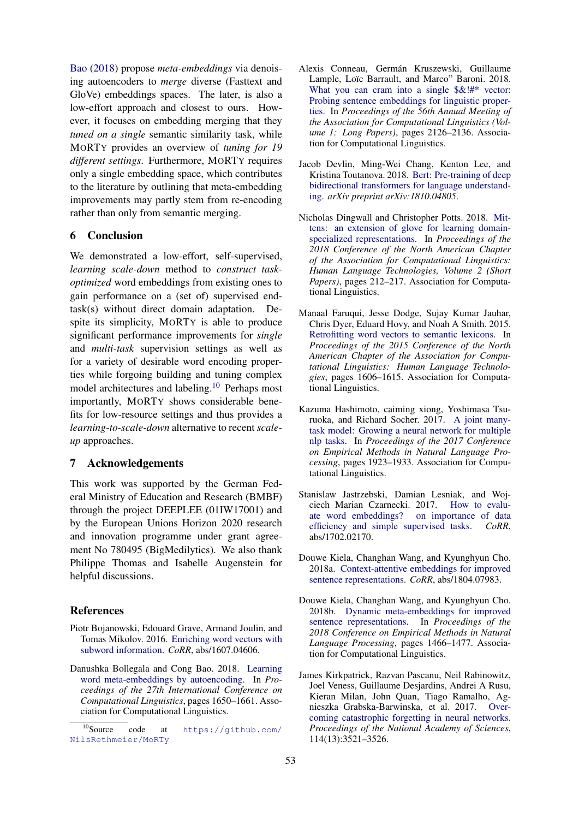[Bao](#page-4-0) [\(2018\)](#page-4-0) propose *meta-embeddings* via denoising autoencoders to *merge* diverse (Fasttext and GloVe) embeddings spaces. The later, is also a low-effort approach and closest to ours. However, it focuses on embedding merging that they *tuned on a single* semantic similarity task, while MORTY provides an overview of *tuning for 19 different settings*. Furthermore, MORTY requires only a single embedding space, which contributes to the literature by outlining that meta-embedding improvements may partly stem from re-encoding rather than only from semantic merging.

## 6 Conclusion

We demonstrated a low-effort, self-supervised, *learning scale-down* method to *construct taskoptimized* word embeddings from existing ones to gain performance on a (set of) supervised endtask(s) without direct domain adaptation. Despite its simplicity, MORTY is able to produce significant performance improvements for *single* and *multi-task* supervision settings as well as for a variety of desirable word encoding properties while forgoing building and tuning complex model architectures and labeling.<sup>[10](#page-0-0)</sup> Perhaps most importantly, MORTY shows considerable benefits for low-resource settings and thus provides a *learning-to-scale-down* alternative to recent *scaleup* approaches.

## 7 Acknowledgements

This work was supported by the German Federal Ministry of Education and Research (BMBF) through the project DEEPLEE (01IW17001) and by the European Unions Horizon 2020 research and innovation programme under grant agreement No 780495 (BigMedilytics). We also thank Philippe Thomas and Isabelle Augenstein for helpful discussions.

### References

- <span id="page-4-6"></span>Piotr Bojanowski, Edouard Grave, Armand Joulin, and Tomas Mikolov. 2016. [Enriching word vectors with](http://arxiv.org/abs/1607.04606) [subword information.](http://arxiv.org/abs/1607.04606) *CoRR*, abs/1607.04606.
- <span id="page-4-0"></span>Danushka Bollegala and Cong Bao. 2018. [Learning](http://aclweb.org/anthology/C18-1140) [word meta-embeddings by autoencoding.](http://aclweb.org/anthology/C18-1140) In *Proceedings of the 27th International Conference on Computational Linguistics*, pages 1650–1661. Association for Computational Linguistics.
- <span id="page-4-3"></span>Alexis Conneau, Germán Kruszewski, Guillaume Lample, Loïc Barrault, and Marco" Baroni. 2018. What you can cram into a single  $\&$ !#\* vector: [Probing sentence embeddings for linguistic proper](http://aclweb.org/anthology/P18-1198)[ties.](http://aclweb.org/anthology/P18-1198) In *Proceedings of the 56th Annual Meeting of the Association for Computational Linguistics (Volume 1: Long Papers)*, pages 2126–2136. Association for Computational Linguistics.
- <span id="page-4-5"></span>Jacob Devlin, Ming-Wei Chang, Kenton Lee, and Kristina Toutanova. 2018. [Bert: Pre-training of deep](http://arxiv.org/abs/1810.04805) [bidirectional transformers for language understand](http://arxiv.org/abs/1810.04805)[ing.](http://arxiv.org/abs/1810.04805) *arXiv preprint arXiv:1810.04805*.
- <span id="page-4-2"></span>Nicholas Dingwall and Christopher Potts. 2018. [Mit](https://doi.org/10.18653/v1/N18-2034)[tens: an extension of glove for learning domain](https://doi.org/10.18653/v1/N18-2034)[specialized representations.](https://doi.org/10.18653/v1/N18-2034) In *Proceedings of the 2018 Conference of the North American Chapter of the Association for Computational Linguistics: Human Language Technologies, Volume 2 (Short Papers)*, pages 212–217. Association for Computational Linguistics.
- <span id="page-4-7"></span>Manaal Faruqui, Jesse Dodge, Sujay Kumar Jauhar, Chris Dyer, Eduard Hovy, and Noah A Smith. 2015. [Retrofitting word vectors to semantic lexicons.](https://doi.org/10.3115/v1/N15-1184) In *Proceedings of the 2015 Conference of the North American Chapter of the Association for Computational Linguistics: Human Language Technologies*, pages 1606–1615. Association for Computational Linguistics.
- <span id="page-4-10"></span>Kazuma Hashimoto, caiming xiong, Yoshimasa Tsuruoka, and Richard Socher. 2017. [A joint many](https://doi.org/10.18653/v1/D17-1206)[task model: Growing a neural network for multiple](https://doi.org/10.18653/v1/D17-1206) [nlp tasks.](https://doi.org/10.18653/v1/D17-1206) In *Proceedings of the 2017 Conference on Empirical Methods in Natural Language Processing*, pages 1923–1933. Association for Computational Linguistics.
- <span id="page-4-4"></span>Stanislaw Jastrzebski, Damian Lesniak, and Wojciech Marian Czarnecki. 2017. [How to evalu](http://arxiv.org/abs/1702.02170)[ate word embeddings? on importance of data](http://arxiv.org/abs/1702.02170) [efficiency and simple supervised tasks.](http://arxiv.org/abs/1702.02170) *CoRR*, abs/1702.02170.
- <span id="page-4-1"></span>Douwe Kiela, Changhan Wang, and Kyunghyun Cho. 2018a. [Context-attentive embeddings for improved](http://arxiv.org/abs/1804.07983) [sentence representations.](http://arxiv.org/abs/1804.07983) *CoRR*, abs/1804.07983.
- <span id="page-4-8"></span>Douwe Kiela, Changhan Wang, and Kyunghyun Cho. 2018b. [Dynamic meta-embeddings for improved](http://aclweb.org/anthology/D18-1176) [sentence representations.](http://aclweb.org/anthology/D18-1176) In *Proceedings of the 2018 Conference on Empirical Methods in Natural Language Processing*, pages 1466–1477. Association for Computational Linguistics.
- <span id="page-4-9"></span>James Kirkpatrick, Razvan Pascanu, Neil Rabinowitz, Joel Veness, Guillaume Desjardins, Andrei A Rusu, Kieran Milan, John Quan, Tiago Ramalho, Agnieszka Grabska-Barwinska, et al. 2017. [Over](https://www.pnas.org/content/114/13/3521)[coming catastrophic forgetting in neural networks.](https://www.pnas.org/content/114/13/3521) *Proceedings of the National Academy of Sciences*, 114(13):3521–3526.

 $10$ Source code at [https://github.com/](https://github.com/NilsRethmeier/MoRTy) [NilsRethmeier/MoRTy](https://github.com/NilsRethmeier/MoRTy)